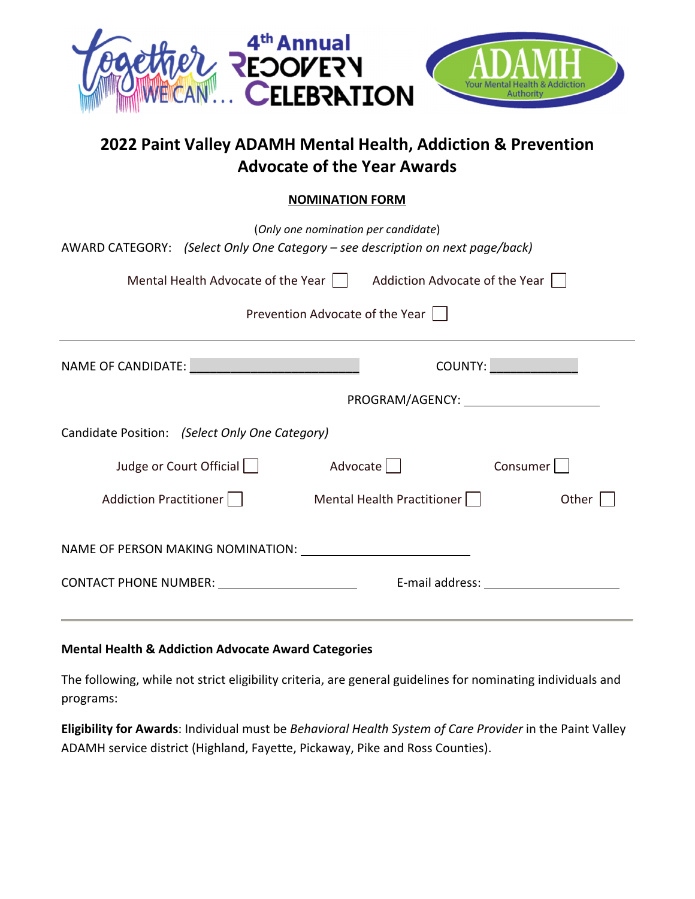

# **2022 Paint Valley ADAMH Mental Health, Addiction & Prevention Advocate of the Year Awards**

## **NOMINATION FORM**

| (Only one nomination per candidate)<br>AWARD CATEGORY: (Select Only One Category - see description on next page/back)                                                                                                          |  |                 |                        |
|--------------------------------------------------------------------------------------------------------------------------------------------------------------------------------------------------------------------------------|--|-----------------|------------------------|
| Mental Health Advocate of the Year     Addiction Advocate of the Year                                                                                                                                                          |  |                 |                        |
| Prevention Advocate of the Year                                                                                                                                                                                                |  |                 |                        |
| NAME OF CANDIDATE: NAME OF CANDIDATE:                                                                                                                                                                                          |  |                 | <b>COUNTY: COUNTY:</b> |
|                                                                                                                                                                                                                                |  |                 |                        |
| Candidate Position: (Select Only One Category)                                                                                                                                                                                 |  |                 |                        |
| Judge or Court Official                                                                                                                                                                                                        |  | Advocate        | Consumer               |
| Addiction Practitioner     Mental Health Practitioner                                                                                                                                                                          |  |                 | Other                  |
|                                                                                                                                                                                                                                |  |                 |                        |
| CONTACT PHONE NUMBER: NAMEL AND RESERVE TO A SERIES AND RESERVE TO A SERIES AND RESERVE TO A SERIES OF THE SERIES OF THE SERIES OF THE SERIES OF THE SERIES OF THE SERIES OF THE SERIES OF THE SERIES OF THE SERIES OF THE SER |  | E-mail address: |                        |

#### **Mental Health & Addiction Advocate Award Categories**

The following, while not strict eligibility criteria, are general guidelines for nominating individuals and programs:

**Eligibility for Awards**: Individual must be *Behavioral Health System of Care Provider* in the Paint Valley ADAMH service district (Highland, Fayette, Pickaway, Pike and Ross Counties).